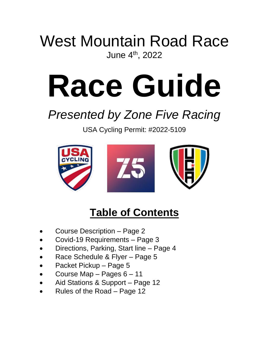# West Mountain Road Race June 4th, 2022

# **Race Guide**

# *Presented by Zone Five Racing*

USA Cycling Permit: #2022-5109



# **Table of Contents**

- Course Description Page 2
- Covid-19 Requirements Page 3
- Directions, Parking, Start line Page 4
- Race Schedule & Flyer Page 5
- Packet Pickup Page 5
- Course Map Pages 6 11
- Aid Stations & Support Page 12
- Rules of the Road Page 12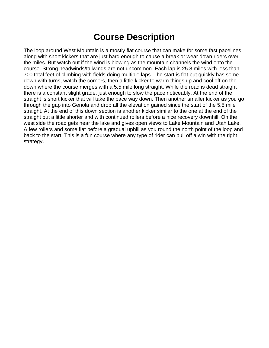#### **Course Description**

The loop around West Mountain is a mostly flat course that can make for some fast pacelines along with short kickers that are just hard enough to cause a break or wear down riders over the miles. But watch out if the wind is blowing as the mountain channels the wind onto the course. Strong headwinds/tailwinds are not uncommon. Each lap is 25.8 miles with less than 700 total feet of climbing with fields doing multiple laps. The start is flat but quickly has some down with turns, watch the corners, then a little kicker to warm things up and cool off on the down where the course merges with a 5.5 mile long straight. While the road is dead straight there is a constant slight grade, just enough to slow the pace noticeably. At the end of the straight is short kicker that will take the pace way down. Then another smaller kicker as you go through the gap into Genola and drop all the elevation gained since the start of the 5.5 mile straight. At the end of this down section is another kicker similar to the one at the end of the straight but a little shorter and with continued rollers before a nice recovery downhill. On the west side the road gets near the lake and gives open views to Lake Mountain and Utah Lake. A few rollers and some flat before a gradual uphill as you round the north point of the loop and back to the start. This is a fun course where any type of rider can pull off a win with the right strategy.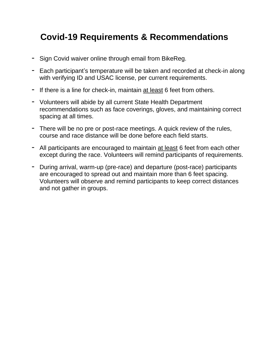## **Covid-19 Requirements & Recommendations**

- Sign Covid waiver online through email from BikeReg.
- Each participant's temperature will be taken and recorded at check-in along with verifying ID and USAC license, per current requirements.
- If there is a line for check-in, maintain at least 6 feet from others.
- Volunteers will abide by all current State Health Department recommendations such as face coverings, gloves, and maintaining correct spacing at all times.
- There will be no pre or post-race meetings. A quick review of the rules, course and race distance will be done before each field starts.
- All participants are encouraged to maintain at least 6 feet from each other except during the race. Volunteers will remind participants of requirements.
- During arrival, warm-up (pre-race) and departure (post-race) participants are encouraged to spread out and maintain more than 6 feet spacing. Volunteers will observe and remind participants to keep correct distances and not gather in groups.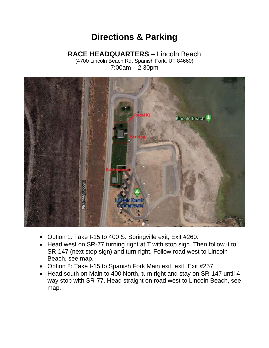## **Directions & Parking**

#### **RACE HEADQUARTERS** – Lincoln Beach

(4700 Lincoln Beach Rd, Spanish Fork, UT 84660) 7:00am – 2:30pm



- Option 1: Take I-15 to 400 S. Springville exit, Exit #260.
- Head west on SR-77 turning right at T with stop sign. Then follow it to SR-147 (next stop sign) and turn right. Follow road west to Lincoln Beach, see map.
- Option 2: Take I-15 to Spanish Fork Main exit, exit, Exit #257.
- Head south on Main to 400 North, turn right and stay on SR-147 until 4 way stop with SR-77. Head straight on road west to Lincoln Beach, see map.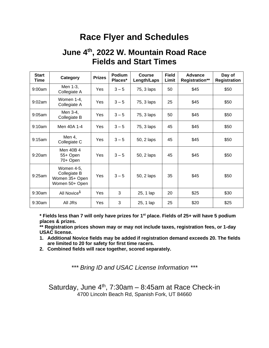### **Race Flyer and Schedules**

#### **June 4 th , 2022 W. Mountain Road Race Fields and Start Times**

| <b>Start</b><br>Time | Category                                                       | <b>Prizes</b> | <b>Podium</b><br>Places* | Course<br>Length/Laps | <b>Field</b><br>Limit | Advance<br><b>Registration**</b> | Day of<br><b>Registration</b> |
|----------------------|----------------------------------------------------------------|---------------|--------------------------|-----------------------|-----------------------|----------------------------------|-------------------------------|
| 9:00am               | Men 1-3,<br>Collegiate A                                       | Yes           | $3 - 5$                  | 75, 3 laps            | 50                    | \$45                             | \$50                          |
| 9:02am               | Women 1-4,<br>Collegiate A                                     | Yes           | $3 - 5$                  | 75, 3 laps            | 25                    | \$45                             | \$50                          |
| $9:05$ am            | Men 3-4,<br>Collegiate B                                       | Yes           | $3 - 5$                  | 75, 3 laps            | 50                    | \$45                             | \$50                          |
| 9:10am               | Men 40A 1-4                                                    | Yes           | $3 - 5$                  | 75, 3 laps            | 45                    | \$45                             | \$50                          |
| 9:15am               | Men 4,<br>Collegiate C                                         | Yes           | $3 - 5$                  | 50, 2 laps            | 45                    | \$45                             | \$50                          |
| 9:20am               | Men 40B 4<br>55+ Open<br>70+ Open                              | Yes           | $3 - 5$                  | 50, 2 laps            | 45                    | \$45                             | \$50                          |
| 9:25am               | Women 4-5,<br>Collegiate B<br>Women 35+ Open<br>Women 50+ Open | Yes           | $3 - 5$                  | 50, 2 laps            | 35                    | \$45                             | \$50                          |
| 9:30am               | All Novice <sup>1</sup>                                        | Yes           | 3                        | 25, 1 lap             | 20                    | \$25                             | \$30                          |
| 9:30am               | All JRs                                                        | Yes           | 3                        | 25, 1 lap             | 25                    | \$20                             | \$25                          |

**\* Fields less than 7 will only have prizes for 1st place. Fields of 25+ will have 5 podium places & prizes.** 

**\*\* Registration prices shown may or may not include taxes, registration fees, or 1-day USAC license.**

- **1. Additional Novice fields may be added if registration demand exceeds 20. The fields are limited to 20 for safety for first time racers.**
- **2. Combined fields will race together, scored separately.**

*\*\*\* Bring ID and USAC License Information \*\*\**

Saturday, June  $4<sup>th</sup>$ , 7:30am - 8:45am at Race Check-in 4700 Lincoln Beach Rd, Spanish Fork, UT 84660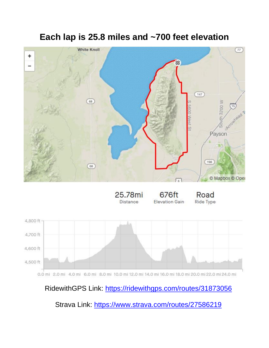## **Each lap is 25.8 miles and ~700 feet elevation**



RidewithGPS Link:<https://ridewithgps.com/routes/31873056>

Strava Link:<https://www.strava.com/routes/27586219>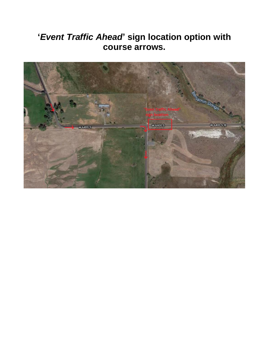## **'***Event Traffic Ahead***' sign location option with course arrows.**

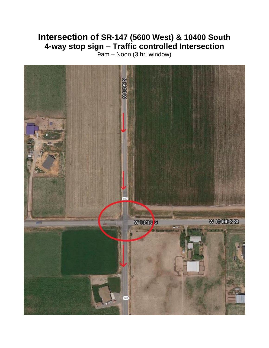#### **Intersection of SR-147 (5600 West) & 10400 South 4-way stop sign – Traffic controlled Intersection**

9am – Noon (3 hr. window)

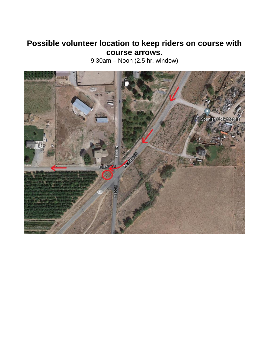#### **Possible volunteer location to keep riders on course with course arrows.**

9:30am – Noon (2.5 hr. window)

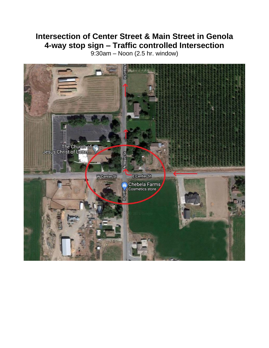#### **Intersection of Center Street & Main Street in Genola 4-way stop sign – Traffic controlled Intersection**

9:30am – Noon (2.5 hr. window)

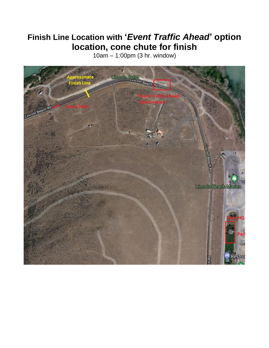#### **Finish Line Location with '***Event Traffic Ahead***' option location, cone chute for finish**

10am – 1:00pm (3 hr. window)